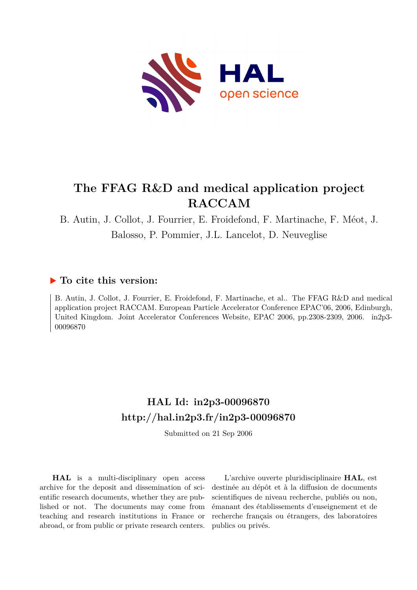

# **The FFAG R&D and medical application project RACCAM**

B. Autin, J. Collot, J. Fourrier, E. Froidefond, F. Martinache, F. Méot, J. Balosso, P. Pommier, J.L. Lancelot, D. Neuveglise

# **To cite this version:**

B. Autin, J. Collot, J. Fourrier, E. Froidefond, F. Martinache, et al.. The FFAG R&D and medical application project RACCAM. European Particle Accelerator Conference EPAC'06, 2006, Edinburgh, United Kingdom. Joint Accelerator Conferences Website, EPAC 2006, pp.2308-2309, 2006. in2p3-00096870

# **HAL Id: in2p3-00096870 <http://hal.in2p3.fr/in2p3-00096870>**

Submitted on 21 Sep 2006

**HAL** is a multi-disciplinary open access archive for the deposit and dissemination of scientific research documents, whether they are published or not. The documents may come from teaching and research institutions in France or abroad, or from public or private research centers.

L'archive ouverte pluridisciplinaire **HAL**, est destinée au dépôt et à la diffusion de documents scientifiques de niveau recherche, publiés ou non, émanant des établissements d'enseignement et de recherche français ou étrangers, des laboratoires publics ou privés.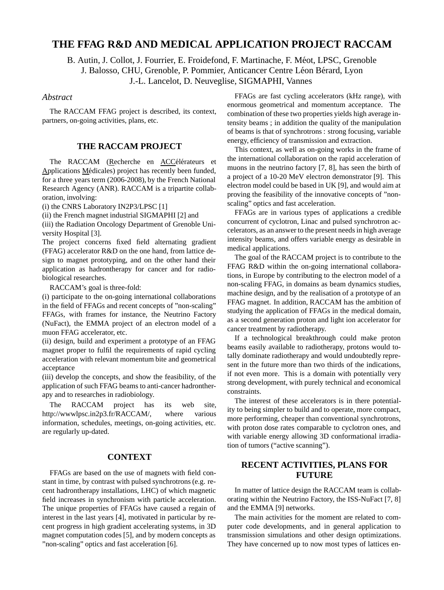## **THE FFAG R&D AND MEDICAL APPLICATION PROJECT RACCAM**

B. Autin, J. Collot, J. Fourrier, E. Froidefond, F. Martinache, F. Méot, LPSC, Grenoble J. Balosso, CHU, Grenoble, P. Pommier, Anticancer Centre Léon Bérard, Lyon J.-L. Lancelot, D. Neuveglise, SIGMAPHI, Vannes

#### *Abstract*

The RACCAM FFAG project is described, its context, partners, on-going activities, plans, etc.

### **THE RACCAM PROJECT**

The RACCAM (Recherche en ACCélérateurs et Applications Médicales) project has recently been funded, for a three years term (2006-2008), by the French National Research Agency (ANR). RACCAM is a tripartite collaboration, involving:

(i) the CNRS Laboratory IN2P3/LPSC [1]

(ii) the French magnet industrial SIGMAPHI [2] and

(iii) the Radiation Oncology Department of Grenoble University Hospital [3].

The project concerns fixed field alternating gradient (FFAG) accelerator R&D on the one hand, from lattice design to magnet prototyping, and on the other hand their application as hadrontherapy for cancer and for radiobiological researches.

RACCAM's goal is three-fold:

(i) participate to the on-going international collaborations in the field of FFAGs and recent concepts of "non-scaling" FFAGs, with frames for instance, the Neutrino Factory (NuFact), the EMMA project of an electron model of a muon FFAG accelerator, etc.

(ii) design, build and experiment a prototype of an FFAG magnet proper to fulfil the requirements of rapid cycling acceleration with relevant momentum bite and geometrical acceptance

(iii) develop the concepts, and show the feasibility, of the application of such FFAG beams to anti-cancer hadrontherapy and to researches in radiobiology.

The RACCAM project has its web site, http://wwwlpsc.in2p3.fr/RACCAM/, where various information, schedules, meetings, on-going activities, etc. are regularly up-dated.

### **CONTEXT**

FFAGs are based on the use of magnets with field constant in time, by contrast with pulsed synchrotrons (e.g. recent hadrontherapy installations, LHC) of which magnetic field increases in synchronism with particle acceleration. The unique properties of FFAGs have caused a regain of interest in the last years [4], motivated in particular by recent progress in high gradient accelerating systems, in 3D magnet computation codes [5], and by modern concepts as "non-scaling" optics and fast acceleration [6].

FFAGs are fast cycling accelerators (kHz range), with enormous geometrical and momentum acceptance. The combination of these two properties yields high average intensity beams ; in addition the quality of the manipulation of beams is that of synchrotrons : strong focusing, variable energy, efficiency of transmission and extraction.

This context, as well as on-going works in the frame of the international collaboration on the rapid acceleration of muons in the neutrino factory [7, 8], has seen the birth of a project of a 10-20 MeV electron demonstrator [9]. This electron model could be based in UK [9], and would aim at proving the feasibility of the innovative concepts of "nonscaling" optics and fast acceleration.

FFAGs are in various types of applications a credible concurrent of cyclotron, Linac and pulsed synchrotron accelerators, as an answer to the present needs in high average intensity beams, and offers variable energy as desirable in medical applications.

The goal of the RACCAM project is to contribute to the FFAG R&D within the on-going international collaborations, in Europe by contributing to the electron model of a non-scaling FFAG, in domains as beam dynamics studies, machine design, and by the realisation of a prototype of an FFAG magnet. In addition, RACCAM has the ambition of studying the application of FFAGs in the medical domain, as a second generation proton and light ion accelerator for cancer treatment by radiotherapy.

If a technological breakthrough could make proton beams easily available to radiotherapy, protons would totally dominate radiotherapy and would undoubtedly represent in the future more than two thirds of the indications, if not even more. This is a domain with potentially very strong development, with purely technical and economical constraints.

The interest of these accelerators is in there potentiality to being simpler to build and to operate, more compact, more performing, cheaper than conventional synchrotrons, with proton dose rates comparable to cyclotron ones, and with variable energy allowing 3D conformational irradiation of tumors ("active scanning").

## **RECENT ACTIVITIES, PLANS FOR FUTURE**

In matter of lattice design the RACCAM team is collaborating within the Neutrino Factory, the ISS-NuFact [7, 8] and the EMMA [9] networks.

The main activities for the moment are related to computer code developments, and in general application to transmission simulations and other design optimizations. They have concerned up to now most types of lattices en